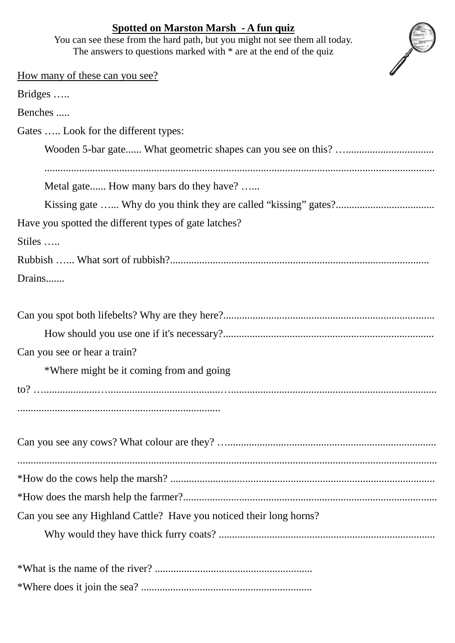## **Spotted on Marston Marsh - A fun quiz**

You can see these from the hard path, but you might not see them all today. The answers to questions marked with  $*$  are at the end of the quiz



| Tou can see these from the nara path, but you might not see them an today.<br>The answers to questions marked with $*$ are at the end of the quiz |
|---------------------------------------------------------------------------------------------------------------------------------------------------|
| <u>How many of these can you see?</u>                                                                                                             |
| Bridges                                                                                                                                           |
| Benches                                                                                                                                           |
| Gates  Look for the different types:                                                                                                              |
|                                                                                                                                                   |
|                                                                                                                                                   |
| Metal gate How many bars do they have?                                                                                                            |
|                                                                                                                                                   |
| Have you spotted the different types of gate latches?                                                                                             |
| Stiles                                                                                                                                            |
|                                                                                                                                                   |
| Drains                                                                                                                                            |
|                                                                                                                                                   |
|                                                                                                                                                   |
| Can you see or hear a train?                                                                                                                      |
| *Where might be it coming from and going                                                                                                          |
|                                                                                                                                                   |
|                                                                                                                                                   |
|                                                                                                                                                   |
|                                                                                                                                                   |
|                                                                                                                                                   |
| Can you see any Highland Cattle? Have you noticed their long horns?                                                                               |
|                                                                                                                                                   |
|                                                                                                                                                   |
|                                                                                                                                                   |
|                                                                                                                                                   |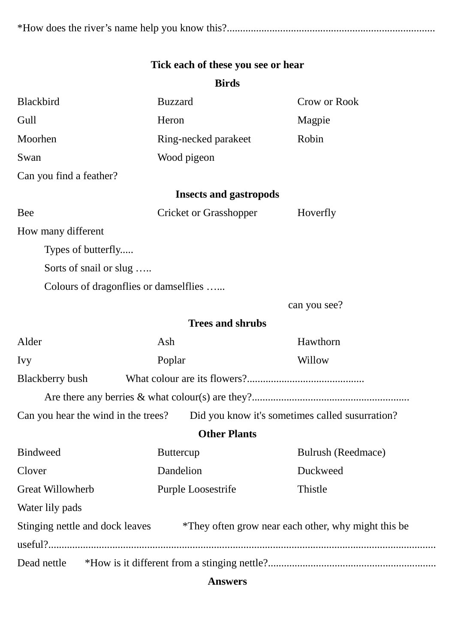\*How does the river's name help you know this?..............................................................................

## **Tick each of these you see or hear**

|                                                                                        | <b>Birds</b>                  |                    |  |
|----------------------------------------------------------------------------------------|-------------------------------|--------------------|--|
| <b>Blackbird</b>                                                                       | <b>Buzzard</b>                | Crow or Rook       |  |
| Gull                                                                                   | Heron                         | Magpie             |  |
| Moorhen                                                                                | Ring-necked parakeet          | Robin              |  |
| Swan                                                                                   | Wood pigeon                   |                    |  |
| Can you find a feather?                                                                |                               |                    |  |
| <b>Insects and gastropods</b>                                                          |                               |                    |  |
| <b>Bee</b>                                                                             | <b>Cricket or Grasshopper</b> | Hoverfly           |  |
| How many different                                                                     |                               |                    |  |
| Types of butterfly                                                                     |                               |                    |  |
| Sorts of snail or slug                                                                 |                               |                    |  |
| Colours of dragonflies or damselflies                                                  |                               |                    |  |
| can you see?                                                                           |                               |                    |  |
| <b>Trees and shrubs</b>                                                                |                               |                    |  |
| Alder                                                                                  | Ash                           | Hawthorn           |  |
| <b>Ivy</b>                                                                             | Poplar                        | Willow             |  |
| Blackberry bush                                                                        |                               |                    |  |
|                                                                                        |                               |                    |  |
| Can you hear the wind in the trees?<br>Did you know it's sometimes called susurration? |                               |                    |  |
|                                                                                        | <b>Other Plants</b>           |                    |  |
| <b>Bindweed</b>                                                                        | <b>Buttercup</b>              | Bulrush (Reedmace) |  |
| Clover                                                                                 | Dandelion                     | Duckweed           |  |
| <b>Great Willowherb</b>                                                                | Purple Loosestrife            | Thistle            |  |
| Water lily pads                                                                        |                               |                    |  |
| Stinging nettle and dock leaves *They often grow near each other, why might this be    |                               |                    |  |
|                                                                                        |                               |                    |  |
| Dead nettle                                                                            |                               |                    |  |

## **Answers**